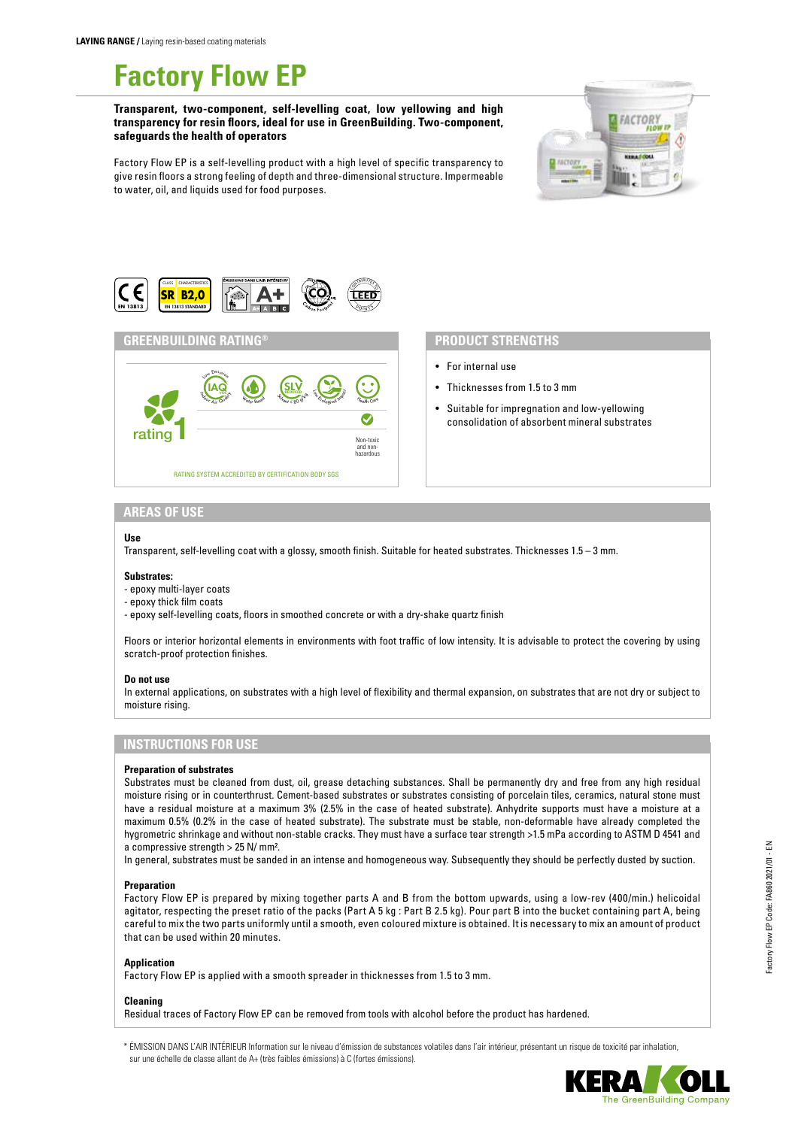# **Factory Flow EP**

**Transparent, two-component, self-levelling coat, low yellowing and high transparency for resin floors, ideal for use in GreenBuilding. Two-component, safeguards the health of operators**



Factory Flow EP is a self-levelling product with a high level of specific transparency to give resin floors a strong feeling of depth and three-dimensional structure. Impermeable to water, oil, and liquids used for food purposes.



#### **GREENBUILDING RATING®**



## **PRODUCT STRENGTHS**

- For internal use
- Thicknesses from 1.5 to 3 mm
- Suitable for impregnation and low-yellowing consolidation of absorbent mineral substrates

### **AREAS OF USE**

#### **Use**

Transparent, self-levelling coat with a glossy, smooth finish. Suitable for heated substrates. Thicknesses 1.5 – 3 mm.

#### **Substrates:**

- epoxy multi-layer coats
- epoxy thick film coats
- epoxy self-levelling coats, floors in smoothed concrete or with a dry-shake quartz finish

Floors or interior horizontal elements in environments with foot traffic of low intensity. It is advisable to protect the covering by using scratch-proof protection finishes.

#### **Do not use**

In external applications, on substrates with a high level of flexibility and thermal expansion, on substrates that are not dry or subject to moisture rising.

# **INSTRUCTIONS FOR USE**

#### **Preparation of substrates**

Substrates must be cleaned from dust, oil, grease detaching substances. Shall be permanently dry and free from any high residual moisture rising or in counterthrust. Cement-based substrates or substrates consisting of porcelain tiles, ceramics, natural stone must have a residual moisture at a maximum 3% (2.5% in the case of heated substrate). Anhydrite supports must have a moisture at a maximum 0.5% (0.2% in the case of heated substrate). The substrate must be stable, non-deformable have already completed the hygrometric shrinkage and without non-stable cracks. They must have a surface tear strength >1.5 mPa according to ASTM D 4541 and a compressive strength > 25 N/ mm².

In general, substrates must be sanded in an intense and homogeneous way. Subsequently they should be perfectly dusted by suction.

#### **Preparation**

Factory Flow EP is prepared by mixing together parts A and B from the bottom upwards, using a low-rev (400/min.) helicoidal agitator, respecting the preset ratio of the packs (Part A 5 kg : Part B 2.5 kg). Pour part B into the bucket containing part A, being careful to mix the two parts uniformly until a smooth, even coloured mixture is obtained. It is necessary to mix an amount of product that can be used within 20 minutes.

#### **Application**

Factory Flow EP is applied with a smooth spreader in thicknesses from 1.5 to 3 mm.

**Cleaning**

Residual traces of Factory Flow EP can be removed from tools with alcohol before the product has hardened.

\* ÉMISSION DANS L'AIR INTÉRIEUR Information sur le niveau d'émission de substances volatiles dans l'air intérieur, présentant un risque de toxicité par inhalation, sur une échelle de classe allant de A+ (très faibles émissions) à C (fortes émissions).